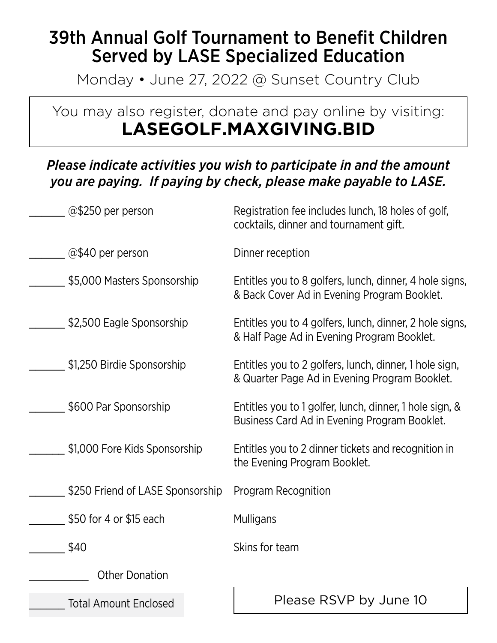# 39th Annual Golf Tournament to Benefit Children Served by LASE Specialized Education

Monday • June 27, 2022 @ Sunset Country Club

### You may also register, donate and pay online by visiting: **LASEGOLF.MAXGIVING.BID**

#### *Please indicate activities you wish to participate in and the amount you are paying. If paying by check, please make payable to LASE.*

| @\$250 per person                | Registration fee includes lunch, 18 holes of golf,<br>cocktails, dinner and tournament gift.            |
|----------------------------------|---------------------------------------------------------------------------------------------------------|
| @\$40 per person                 | Dinner reception                                                                                        |
| \$5,000 Masters Sponsorship      | Entitles you to 8 golfers, lunch, dinner, 4 hole signs,<br>& Back Cover Ad in Evening Program Booklet.  |
| \$2,500 Eagle Sponsorship        | Entitles you to 4 golfers, lunch, dinner, 2 hole signs,<br>& Half Page Ad in Evening Program Booklet.   |
| \$1,250 Birdie Sponsorship       | Entitles you to 2 golfers, lunch, dinner, 1 hole sign,<br>& Quarter Page Ad in Evening Program Booklet. |
| \$600 Par Sponsorship            | Entitles you to 1 golfer, lunch, dinner, 1 hole sign, &<br>Business Card Ad in Evening Program Booklet. |
| \$1,000 Fore Kids Sponsorship    | Entitles you to 2 dinner tickets and recognition in<br>the Evening Program Booklet.                     |
| \$250 Friend of LASE Sponsorship | Program Recognition                                                                                     |
| \$50 for 4 or \$15 each          | Mulligans                                                                                               |
| \$40                             | Skins for team                                                                                          |
| Other Donation                   |                                                                                                         |
| <b>Total Amount Enclosed</b>     | Please RSVP by June 10                                                                                  |